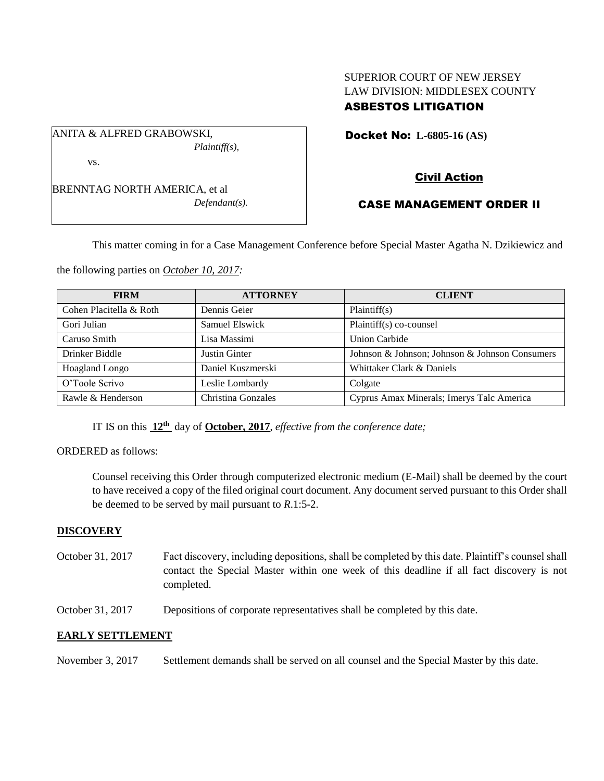# SUPERIOR COURT OF NEW JERSEY LAW DIVISION: MIDDLESEX COUNTY ASBESTOS LITIGATION

Docket No: **L-6805-16 (AS)** 

*Plaintiff(s),*

ANITA & ALFRED GRABOWSKI,

vs.

BRENNTAG NORTH AMERICA, et al *Defendant(s).*

# Civil Action

# CASE MANAGEMENT ORDER II

This matter coming in for a Case Management Conference before Special Master Agatha N. Dzikiewicz and

the following parties on *October 10, 2017:*

| <b>FIRM</b>             | <b>ATTORNEY</b>    | <b>CLIENT</b>                                  |
|-------------------------|--------------------|------------------------------------------------|
| Cohen Placitella & Roth | Dennis Geier       | Plaintiff(s)                                   |
| Gori Julian             | Samuel Elswick     | Plaintiff(s) co-counsel                        |
| Caruso Smith            | Lisa Massimi       | <b>Union Carbide</b>                           |
| Drinker Biddle          | Justin Ginter      | Johnson & Johnson; Johnson & Johnson Consumers |
| Hoagland Longo          | Daniel Kuszmerski  | Whittaker Clark & Daniels                      |
| O'Toole Scrivo          | Leslie Lombardy    | Colgate                                        |
| Rawle & Henderson       | Christina Gonzales | Cyprus Amax Minerals; Imerys Talc America      |

IT IS on this  $12<sup>th</sup>$  day of **October, 2017**, *effective from the conference date*;

ORDERED as follows:

Counsel receiving this Order through computerized electronic medium (E-Mail) shall be deemed by the court to have received a copy of the filed original court document. Any document served pursuant to this Order shall be deemed to be served by mail pursuant to *R*.1:5-2.

## **DISCOVERY**

- October 31, 2017 Fact discovery, including depositions, shall be completed by this date. Plaintiff's counsel shall contact the Special Master within one week of this deadline if all fact discovery is not completed.
- October 31, 2017 Depositions of corporate representatives shall be completed by this date.

## **EARLY SETTLEMENT**

November 3, 2017 Settlement demands shall be served on all counsel and the Special Master by this date.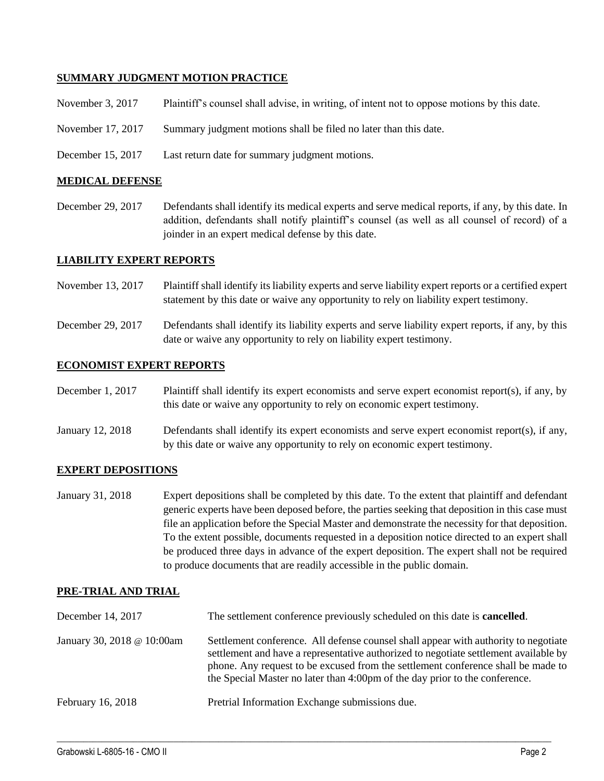### **SUMMARY JUDGMENT MOTION PRACTICE**

| November 3, 2017 | Plaintiff's counsel shall advise, in writing, of intent not to oppose motions by this date. |  |  |  |  |
|------------------|---------------------------------------------------------------------------------------------|--|--|--|--|
|------------------|---------------------------------------------------------------------------------------------|--|--|--|--|

- November 17, 2017 Summary judgment motions shall be filed no later than this date.
- December 15, 2017 Last return date for summary judgment motions.

### **MEDICAL DEFENSE**

December 29, 2017 Defendants shall identify its medical experts and serve medical reports, if any, by this date. In addition, defendants shall notify plaintiff's counsel (as well as all counsel of record) of a joinder in an expert medical defense by this date.

#### **LIABILITY EXPERT REPORTS**

- November 13, 2017 Plaintiff shall identify its liability experts and serve liability expert reports or a certified expert statement by this date or waive any opportunity to rely on liability expert testimony.
- December 29, 2017 Defendants shall identify its liability experts and serve liability expert reports, if any, by this date or waive any opportunity to rely on liability expert testimony.

#### **ECONOMIST EXPERT REPORTS**

- December 1, 2017 Plaintiff shall identify its expert economists and serve expert economist report(s), if any, by this date or waive any opportunity to rely on economic expert testimony.
- January 12, 2018 Defendants shall identify its expert economists and serve expert economist report(s), if any, by this date or waive any opportunity to rely on economic expert testimony.

#### **EXPERT DEPOSITIONS**

January 31, 2018 Expert depositions shall be completed by this date. To the extent that plaintiff and defendant generic experts have been deposed before, the parties seeking that deposition in this case must file an application before the Special Master and demonstrate the necessity for that deposition. To the extent possible, documents requested in a deposition notice directed to an expert shall be produced three days in advance of the expert deposition. The expert shall not be required to produce documents that are readily accessible in the public domain.

### **PRE-TRIAL AND TRIAL**

| December 14, 2017          | The settlement conference previously scheduled on this date is <b>cancelled</b> .                                                                                                                                                                                                                                                              |
|----------------------------|------------------------------------------------------------------------------------------------------------------------------------------------------------------------------------------------------------------------------------------------------------------------------------------------------------------------------------------------|
| January 30, 2018 @ 10:00am | Settlement conference. All defense counsel shall appear with authority to negotiate<br>settlement and have a representative authorized to negotiate settlement available by<br>phone. Any request to be excused from the settlement conference shall be made to<br>the Special Master no later than 4:00pm of the day prior to the conference. |
| February 16, 2018          | Pretrial Information Exchange submissions due.                                                                                                                                                                                                                                                                                                 |

 $\_$  ,  $\_$  ,  $\_$  ,  $\_$  ,  $\_$  ,  $\_$  ,  $\_$  ,  $\_$  ,  $\_$  ,  $\_$  ,  $\_$  ,  $\_$  ,  $\_$  ,  $\_$  ,  $\_$  ,  $\_$  ,  $\_$  ,  $\_$  ,  $\_$  ,  $\_$  ,  $\_$  ,  $\_$  ,  $\_$  ,  $\_$  ,  $\_$  ,  $\_$  ,  $\_$  ,  $\_$  ,  $\_$  ,  $\_$  ,  $\_$  ,  $\_$  ,  $\_$  ,  $\_$  ,  $\_$  ,  $\_$  ,  $\_$  ,